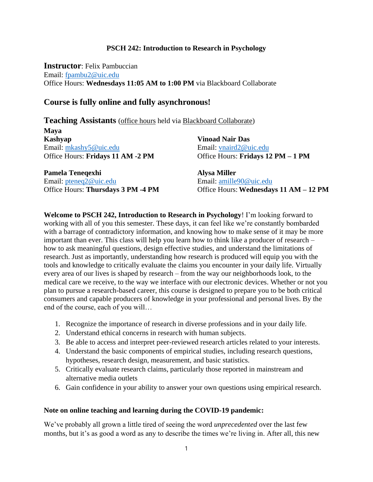### **PSCH 242: Introduction to Research in Psychology**

**Instructor**: Felix Pambuccian Email: [fpambu2@uic.edu](mailto:fpambu2@uic.edu) Office Hours: **Wednesdays 11:05 AM to 1:00 PM** via Blackboard Collaborate

## **Course is fully online and fully asynchronous!**

**Maya Kashyap** Email: [mkashy5@uic.edu](mailto:mkashy5@uic.edu) Office Hours: **Fridays 11 AM -2 PM**

**Vinoad Nair Das** Email: [vnaird2@uic.edu](mailto:vnaird2@uic.edu) Office Hours: **Fridays 12 PM – 1 PM**

**Pamela Teneqexhi** Email: [pteneq2@uic.edu](mailto:pteneq2@uic.edu) Office Hours: **Thursdays 3 PM -4 PM** **Alysa Miller** Email: [amille90@uic.edu](mailto:amille90@uic.edu) Office Hours: **Wednesdays 11 AM – 12 PM**

**Welcome to PSCH 242, Introduction to Research in Psychology**! I'm looking forward to working with all of you this semester. These days, it can feel like we're constantly bombarded with a barrage of contradictory information, and knowing how to make sense of it may be more important than ever. This class will help you learn how to think like a producer of research – how to ask meaningful questions, design effective studies, and understand the limitations of research. Just as importantly, understanding how research is produced will equip you with the tools and knowledge to critically evaluate the claims you encounter in your daily life. Virtually every area of our lives is shaped by research – from the way our neighborhoods look, to the medical care we receive, to the way we interface with our electronic devices. Whether or not you plan to pursue a research-based career, this course is designed to prepare you to be both critical consumers and capable producers of knowledge in your professional and personal lives. By the end of the course, each of you will…

- 1. Recognize the importance of research in diverse professions and in your daily life.
- 2. Understand ethical concerns in research with human subjects.
- 3. Be able to access and interpret peer-reviewed research articles related to your interests.
- 4. Understand the basic components of empirical studies, including research questions, hypotheses, research design, measurement, and basic statistics.
- 5. Critically evaluate research claims, particularly those reported in mainstream and alternative media outlets
- 6. Gain confidence in your ability to answer your own questions using empirical research.

### **Note on online teaching and learning during the COVID-19 pandemic:**

We've probably all grown a little tired of seeing the word *unprecedented* over the last few months, but it's as good a word as any to describe the times we're living in. After all, this new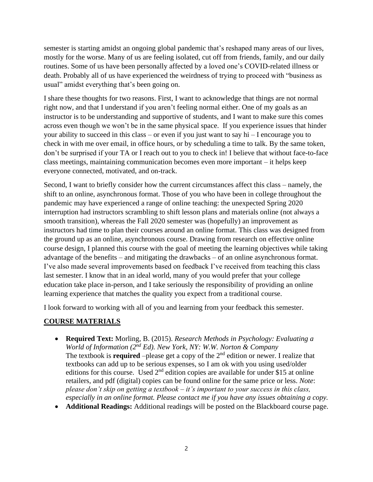semester is starting amidst an ongoing global pandemic that's reshaped many areas of our lives, mostly for the worse. Many of us are feeling isolated, cut off from friends, family, and our daily routines. Some of us have been personally affected by a loved one's COVID-related illness or death. Probably all of us have experienced the weirdness of trying to proceed with "business as usual" amidst everything that's been going on.

I share these thoughts for two reasons. First, I want to acknowledge that things are not normal right now, and that I understand if you aren't feeling normal either. One of my goals as an instructor is to be understanding and supportive of students, and I want to make sure this comes across even though we won't be in the same physical space. If you experience issues that hinder your ability to succeed in this class – or even if you just want to say hi – I encourage you to check in with me over email, in office hours, or by scheduling a time to talk. By the same token, don't be surprised if your TA or I reach out to you to check in! I believe that without face-to-face class meetings, maintaining communication becomes even more important – it helps keep everyone connected, motivated, and on-track.

Second, I want to briefly consider how the current circumstances affect this class – namely, the shift to an online, asynchronous format. Those of you who have been in college throughout the pandemic may have experienced a range of online teaching: the unexpected Spring 2020 interruption had instructors scrambling to shift lesson plans and materials online (not always a smooth transition), whereas the Fall 2020 semester was (hopefully) an improvement as instructors had time to plan their courses around an online format. This class was designed from the ground up as an online, asynchronous course. Drawing from research on effective online course design, I planned this course with the goal of meeting the learning objectives while taking advantage of the benefits – and mitigating the drawbacks – of an online asynchronous format. I've also made several improvements based on feedback I've received from teaching this class last semester. I know that in an ideal world, many of you would prefer that your college education take place in-person, and I take seriously the responsibility of providing an online learning experience that matches the quality you expect from a traditional course.

I look forward to working with all of you and learning from your feedback this semester.

# **COURSE MATERIALS**

- **Required Text:** Morling, B. (2015). *Research Methods in Psychology: Evaluating a World of Information (2nd Ed). New York, NY: W.W. Norton & Company* The textbook is **required** –please get a copy of the  $2<sup>nd</sup>$  edition or newer. I realize that textbooks can add up to be serious expenses, so I am ok with you using used/older editions for this course. Used  $2<sup>nd</sup>$  edition copies are available for under \$15 at online retailers, and pdf (digital) copies can be found online for the same price or less. *Note*: *please don't skip on getting a textbook – it's important to your success in this class, especially in an online format. Please contact me if you have any issues obtaining a copy.*
- **Additional Readings:** Additional readings will be posted on the Blackboard course page.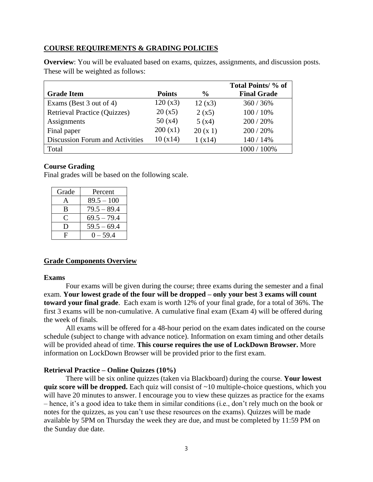### **COURSE REQUIREMENTS & GRADING POLICIES**

**Overview**: You will be evaluated based on exams, quizzes, assignments, and discussion posts. These will be weighted as follows:

|                                     |               |               | Total Points/ % of |
|-------------------------------------|---------------|---------------|--------------------|
| <b>Grade Item</b>                   | <b>Points</b> | $\frac{6}{9}$ | <b>Final Grade</b> |
| Exams (Best 3 out of 4)             | 120(x3)       | 12(x3)        | 360 / 36%          |
| <b>Retrieval Practice (Quizzes)</b> | 20(x5)        | 2(x5)         | 100 / 10%          |
| Assignments                         | 50(x4)        | 5(x4)         | 200 / 20%          |
| Final paper                         | 200(x1)       | 20(x1)        | 200 / 20%          |
| Discussion Forum and Activities     | 10(x14)       | 1(x14)        | 140 / 14%          |
| Total                               |               |               | 1000 / 100%        |

### **Course Grading**

Final grades will be based on the following scale.

| Grade        | Percent       |  |
|--------------|---------------|--|
|              | $89.5 - 100$  |  |
| B            | $79.5 - 89.4$ |  |
| C            | $69.5 - 79.4$ |  |
| $\mathsf{D}$ | $59.5 - 69.4$ |  |
| F            | $0 - 59.4$    |  |

### **Grade Components Overview**

#### **Exams**

Four exams will be given during the course; three exams during the semester and a final exam. **Your lowest grade of the four will be dropped – only your best 3 exams will count toward your final grade**. Each exam is worth 12% of your final grade, for a total of 36%. The first 3 exams will be non-cumulative. A cumulative final exam (Exam 4) will be offered during the week of finals.

All exams will be offered for a 48-hour period on the exam dates indicated on the course schedule (subject to change with advance notice). Information on exam timing and other details will be provided ahead of time. **This course requires the use of LockDown Browser.** More information on LockDown Browser will be provided prior to the first exam.

### **Retrieval Practice – Online Quizzes (10%)**

There will be six online quizzes (taken via Blackboard) during the course. **Your lowest quiz score will be dropped.** Each quiz will consist of ~10 multiple-choice questions, which you will have 20 minutes to answer. I encourage you to view these quizzes as practice for the exams – hence, it's a good idea to take them in similar conditions (i.e., don't rely much on the book or notes for the quizzes, as you can't use these resources on the exams). Quizzes will be made available by 5PM on Thursday the week they are due, and must be completed by 11:59 PM on the Sunday due date.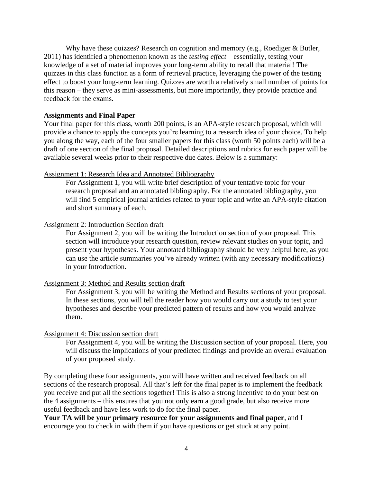Why have these quizzes? Research on cognition and memory (e.g., Roediger & Butler, 2011) has identified a phenomenon known as the *testing effect* – essentially, testing your knowledge of a set of material improves your long-term ability to recall that material! The quizzes in this class function as a form of retrieval practice, leveraging the power of the testing effect to boost your long-term learning. Quizzes are worth a relatively small number of points for this reason – they serve as mini-assessments, but more importantly, they provide practice and feedback for the exams.

### **Assignments and Final Paper**

Your final paper for this class, worth 200 points, is an APA-style research proposal, which will provide a chance to apply the concepts you're learning to a research idea of your choice. To help you along the way, each of the four smaller papers for this class (worth 50 points each) will be a draft of one section of the final proposal. Detailed descriptions and rubrics for each paper will be available several weeks prior to their respective due dates. Below is a summary:

#### Assignment 1: Research Idea and Annotated Bibliography

For Assignment 1, you will write brief description of your tentative topic for your research proposal and an annotated bibliography. For the annotated bibliography, you will find 5 empirical journal articles related to your topic and write an APA-style citation and short summary of each.

### Assignment 2: Introduction Section draft

For Assignment 2, you will be writing the Introduction section of your proposal. This section will introduce your research question, review relevant studies on your topic, and present your hypotheses. Your annotated bibliography should be very helpful here, as you can use the article summaries you've already written (with any necessary modifications) in your Introduction.

### Assignment 3: Method and Results section draft

For Assignment 3, you will be writing the Method and Results sections of your proposal. In these sections, you will tell the reader how you would carry out a study to test your hypotheses and describe your predicted pattern of results and how you would analyze them.

#### Assignment 4: Discussion section draft

For Assignment 4, you will be writing the Discussion section of your proposal. Here, you will discuss the implications of your predicted findings and provide an overall evaluation of your proposed study.

By completing these four assignments, you will have written and received feedback on all sections of the research proposal. All that's left for the final paper is to implement the feedback you receive and put all the sections together! This is also a strong incentive to do your best on the 4 assignments – this ensures that you not only earn a good grade, but also receive more useful feedback and have less work to do for the final paper.

**Your TA will be your primary resource for your assignments and final paper**, and I encourage you to check in with them if you have questions or get stuck at any point.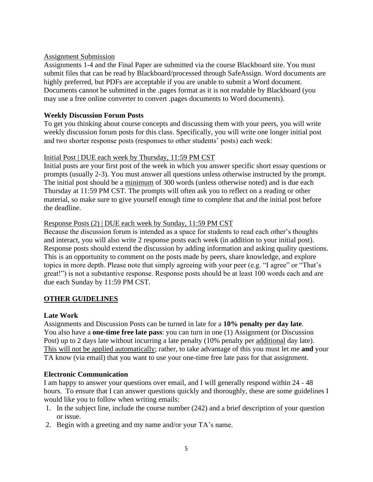## Assignment Submission

Assignments 1-4 and the Final Paper are submitted via the course Blackboard site. You must submit files that can be read by Blackboard/processed through SafeAssign. Word documents are highly preferred, but PDFs are acceptable if you are unable to submit a Word document. Documents cannot be submitted in the .pages format as it is not readable by Blackboard (you may use a free online converter to convert .pages documents to Word documents).

## **Weekly Discussion Forum Posts**

To get you thinking about course concepts and discussing them with your peers, you will write weekly discussion forum posts for this class. Specifically, you will write one longer initial post and two shorter response posts (responses to other students' posts) each week:

# Initial Post | DUE each week by Thursday, 11:59 PM CST

Initial posts are your first post of the week in which you answer specific short essay questions or prompts (usually 2-3). You must answer all questions unless otherwise instructed by the prompt. The initial post should be a minimum of 300 words (unless otherwise noted) and is due each Thursday at 11:59 PM CST. The prompts will often ask you to reflect on a reading or other material, so make sure to give yourself enough time to complete that *and* the initial post before the deadline.

# Response Posts (2) | DUE each week by Sunday, 11:59 PM CST

Because the discussion forum is intended as a space for students to read each other's thoughts and interact, you will also write 2 response posts each week (in addition to your initial post). Response posts should extend the discussion by adding information and asking quality questions. This is an opportunity to comment on the posts made by peers, share knowledge, and explore topics in more depth. Please note that simply agreeing with your peer (e.g. "I agree" or "That's great!") is not a substantive response. Response posts should be at least 100 words each and are due each Sunday by 11:59 PM CST.

# **OTHER GUIDELINES**

# **Late Work**

Assignments and Discussion Posts can be turned in late for a **10% penalty per day late**. You also have a **one-time free late pass**: you can turn in one (1) Assignment (or Discussion Post) up to 2 days late without incurring a late penalty (10% penalty per additional day late). This will not be applied automatically; rather, to take advantage of this you must let me **and** your TA know (via email) that you want to use your one-time free late pass for that assignment.

### **Electronic Communication**

I am happy to answer your questions over email, and I will generally respond within 24 - 48 hours. To ensure that I can answer questions quickly and thoroughly, these are some guidelines I would like you to follow when writing emails:

- 1. In the subject line, include the course number (242) and a brief description of your question or issue.
- 2. Begin with a greeting and my name and/or your TA's name.